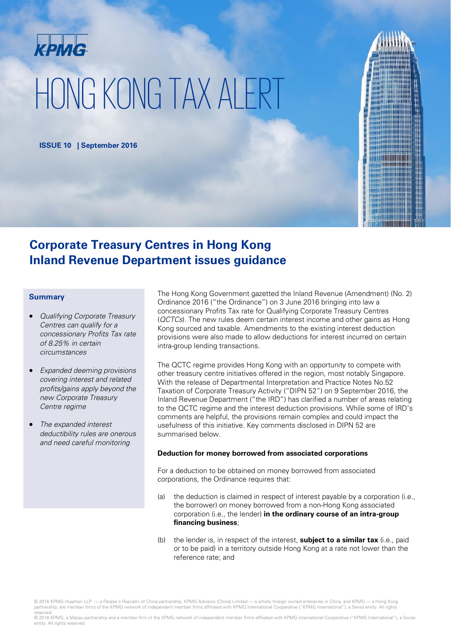# крмG HONG KONG TAX ALERT

**ISSUE 10 | September 2016**

### **Corporate Treasury Centres in Hong Kong Inland Revenue Department issues guidance**

### **Summary**

- Qualifying Corporate Treasury Centres can qualify for a concessionary Profits Tax rate of 8.25% in certain circumstances
- Expanded deeming provisions covering interest and related profits/gains apply beyond the new Corporate Treasury Centre regime
- The expanded interest deductibility rules are onerous and need careful monitoring

The Hong Kong Government gazetted the Inland Revenue (Amendment) (No. 2) Ordinance 2016 ("the Ordinance") on 3 June 2016 bringing into law a concessionary Profits Tax rate for Qualifying Corporate Treasury Centres (QCTCs). The new rules deem certain interest income and other gains as Hong Kong sourced and taxable. Amendments to the existing interest deduction provisions were also made to allow deductions for interest incurred on certain intra-group lending transactions.

The QCTC regime provides Hong Kong with an opportunity to compete with other treasury centre initiatives offered in the region, most notably Singapore. With the release of Departmental Interpretation and Practice Notes No.52 Taxation of Corporate Treasury Activity ("DIPN 52") on 9 September 2016, the Inland Revenue Department ("the IRD") has clarified a number of areas relating to the QCTC regime and the interest deduction provisions. While some of IRD's comments are helpful, the provisions remain complex and could impact the usefulness of this initiative. Key comments disclosed in DIPN 52 are summarised below.

### **Deduction for money borrowed from associated corporations**

For a deduction to be obtained on money borrowed from associated corporations, the Ordinance requires that:

- (a) the deduction is claimed in respect of interest payable by a corporation (i.e., the borrower) on money borrowed from a non-Hong Kong associated corporation (i.e., the lender) **in the ordinary course of an intra-group financing business**;
- (b) the lender is, in respect of the interest, **subject to a similar tax** (i.e., paid or to be paid) in a territory outside Hong Kong at a rate not lower than the reference rate; and

reserved.<br>© 2016 KPMG, a Macau partnership and a member firm of the KPMG network of independent member firms affiliated with KPMG International Cooperative ("KPMG International"), a Swiss entity. All rights reserved.

<sup>© 2016</sup> KPMG Huazhen LLP — a People's Republic of China partnership, KPMG Advisory (China) Limited — a wholly foreign owned enterprise in China, and KPMG — a Hong Kong partnership, are member firms of the KPMG network of independent member firms affiliated with KPMG International Cooperative ("KPMG International"), a Swiss entity. All rights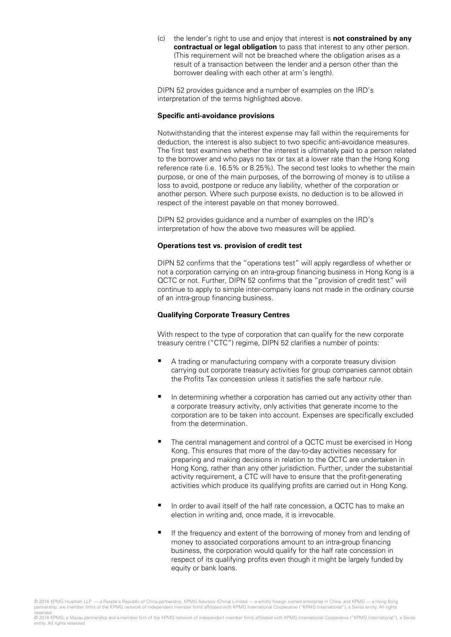(c) the lender's right to use and enjoy that interest is **not constrained by any contractual or legal obligation** to pass that interest to any other person. (This requirement will not be breached where the obligation arises as a result of a transaction between the lender and a person other than the borrower dealing with each other at arm's length).

DIPN 52 provides guidance and a number of examples on the IRD's interpretation of the terms highlighted above.

### **Specific anti-avoidance provisions**

Notwithstanding that the interest expense may fall within the requirements for deduction, the interest is also subject to two specific anti-avoidance measures. The first test examines whether the interest is ultimately paid to a person related to the borrower and who pays no tax or tax at a lower rate than the Hong Kong reference rate (i.e. 16.5% or 8.25%). The second test looks to whether the main purpose, or one of the main purposes, of the borrowing of money is to utilise a loss to avoid, postpone or reduce any liability, whether of the corporation or another person. Where such purpose exists, no deduction is to be allowed in respect of the interest payable on that money borrowed.

DIPN 52 provides guidance and a number of examples on the IRD's interpretation of how the above two measures will be applied.

### **Operations test vs. provision of credit test**

DIPN 52 confirms that the "operations test" will apply regardless of whether or not a corporation carrying on an intra-group financing business in Hong Kong is a QCTC or not. Further, DIPN 52 confirms that the "provision of credit test" will continue to apply to simple inter-company loans not made in the ordinary course of an intra-group financing business.

### **Qualifying Corporate Treasury Centres**

With respect to the type of corporation that can qualify for the new corporate treasury centre ("CTC") regime, DIPN 52 clarifies a number of points:

- A trading or manufacturing company with a corporate treasury division carrying out corporate treasury activities for group companies cannot obtain the Profits Tax concession unless it satisfies the safe harbour rule.
- $\blacksquare$  In determining whether a corporation has carried out any activity other than a corporate treasury activity, only activities that generate income to the corporation are to be taken into account. Expenses are specifically excluded from the determination.
- The central management and control of a QCTC must be exercised in Hong Kong. This ensures that more of the day-to-day activities necessary for preparing and making decisions in relation to the QCTC are undertaken in Hong Kong, rather than any other jurisdiction. Further, under the substantial activity requirement, a CTC will have to ensure that the profit-generating activities which produce its qualifying profits are carried out in Hong Kong.
- In order to avail itself of the half rate concession, a QCTC has to make an election in writing and, once made, it is irrevocable.
- If the frequency and extent of the borrowing of money from and lending of money to associated corporations amount to an intra-group financing business, the corporation would qualify for the half rate concession in respect of its qualifying profits even though it might be largely funded by equity or bank loans.

<sup>© 2016</sup> KPMG Huazhen LLP — a People's Republic of China partnership, KPMG Advisory (China) Limited — a wholly foreign owned enterprise in China, and KPMG — a Hong Kong partnership, are member firms of the KPMG network of independent member firms affiliated with KPMG International Cooperative ("KPMG International"), a Swiss entity. All rights reserved.

<sup>© 2016</sup> KPMG, a Macau partnership and a member firm of the KPMG network of independent member firms affiliated with KPMG International Cooperative ("KPMG International"), a Swiss entity. All rights reserved.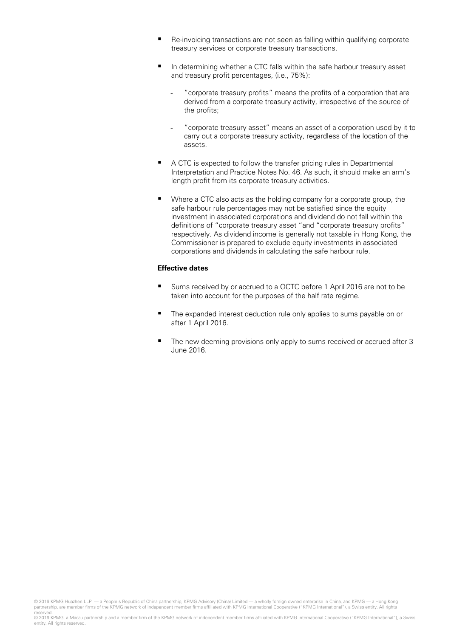- Re-invoicing transactions are not seen as falling within qualifying corporate treasury services or corporate treasury transactions.
- In determining whether a CTC falls within the safe harbour treasury asset and treasury profit percentages, (i.e., 75%):
	- "corporate treasury profits" means the profits of a corporation that are derived from a corporate treasury activity, irrespective of the source of the profits;
	- "corporate treasury asset" means an asset of a corporation used by it to carry out a corporate treasury activity, regardless of the location of the assets.
- A CTC is expected to follow the transfer pricing rules in Departmental Interpretation and Practice Notes No. 46. As such, it should make an arm's length profit from its corporate treasury activities.
- Where a CTC also acts as the holding company for a corporate group, the safe harbour rule percentages may not be satisfied since the equity investment in associated corporations and dividend do not fall within the definitions of "corporate treasury asset "and "corporate treasury profits" respectively. As dividend income is generally not taxable in Hong Kong, the Commissioner is prepared to exclude equity investments in associated corporations and dividends in calculating the safe harbour rule.

### **Effective dates**

- Sums received by or accrued to a QCTC before 1 April 2016 are not to be taken into account for the purposes of the half rate regime.
- The expanded interest deduction rule only applies to sums payable on or after 1 April 2016.
- The new deeming provisions only apply to sums received or accrued after 3 June 2016.

© 2016 KPMG Huazhen LLP — a People's Republic of China partnership, KPMG Advisory (China) Limited — a wholly foreign owned enterprise in China, and KPMG — a Hong Kong partnership, are member firms of the KPMG network of independent member firms affiliated with KPMG International Cooperative ("KPMG International"), a Swiss entity. All rights reserved.

<sup>© 2016</sup> KPMG, a Macau partnership and a member firm of the KPMG network of independent member firms affiliated with KPMG International Cooperative ("KPMG International"), a Swiss entity. All rights reserved.